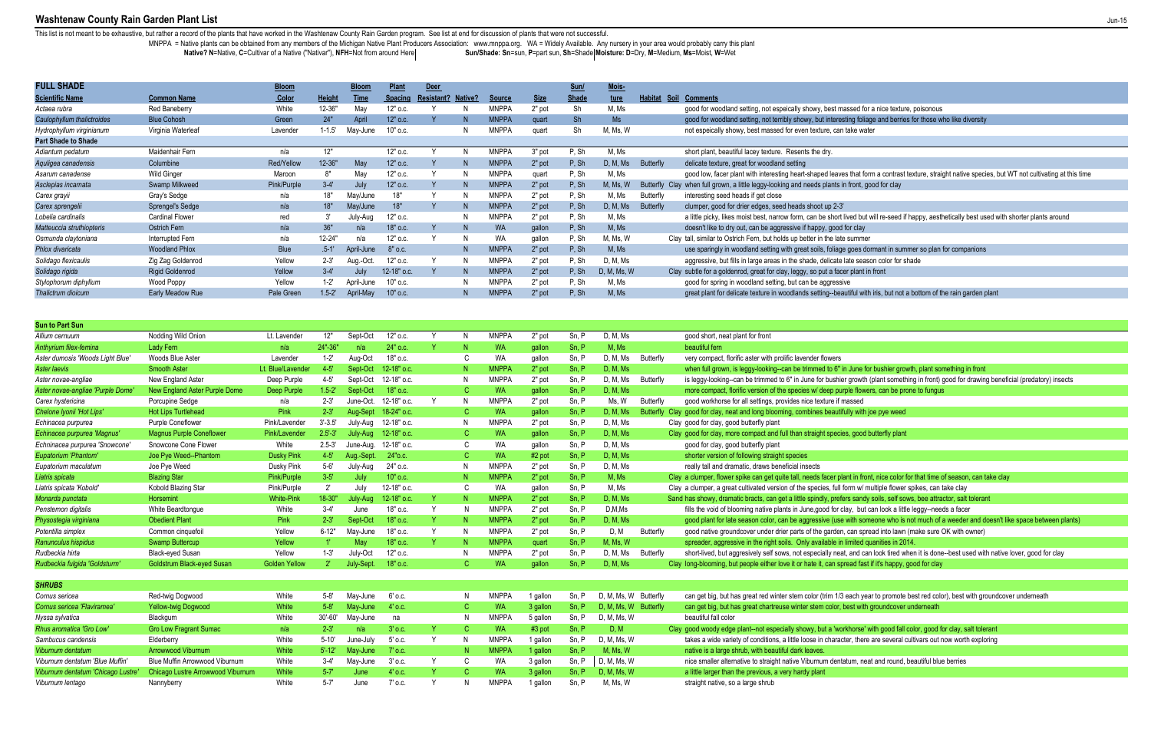# Washtenaw County Rain Garden Plant List

This list is not meant to be exhaustive, but rather a record of the plants that have worked in the Washtenaw County Rain Garden program. See list at end for discussion of plants that were not successful.

MNPPA = Native plants can be obtained from any members of the Michigan Native Plant Producers Association: www.mnppa.org. WA = Widely Available. Any nursery in your area would probably carry this plant Native? N=Native, C=Cultivar of a Native ("Nativar"), NFH=Not from around Here

Sun/Shade: Sn=sun, P=part sun, Sh=Shade Moisture: D=Dry, M=Medium, Ms=Moist, W=Wet

ting foliage and berries for those who like diversity

es that form a contrast texture, straight native species, but WT not cultivating at this time<br>n front, good for clay

lived but will re-seed if happy, aesthetically best used with shorter plants around

e goes dormant in summer so plan for companions<br>late season color for shade

utiful with iris, but not a bottom of the rain garden plant

r growth (plant something in front) good for drawing beneficial (predatory) insects

ant in front, nice color for that time of season, can take clay

with someone who is not much of a weeder and doesn't like space between plants)

t, and can look tired when it is done--best used with native lover, good for clay

each year to promote best red color), best with groundcover underneath best with groundcover underneath

rkhorse' with good fall color, good for clay, salt tolerant cter, there are several cultivars out now worth exploring

| <b>FULL SHADE</b>          |                        | <b>Bloom</b> |               | <b>Bloom</b> | <b>Plant</b>   | <b>Deer</b>       |                |               |             | Sun/         | Mois-       |                  |                                                                                                   |
|----------------------------|------------------------|--------------|---------------|--------------|----------------|-------------------|----------------|---------------|-------------|--------------|-------------|------------------|---------------------------------------------------------------------------------------------------|
| <b>Scientific Name</b>     | <b>Common Name</b>     | Color        | <b>Height</b> | Time         | <b>Spacing</b> | <b>Resistant?</b> | <b>Native?</b> | <b>Source</b> | <b>Size</b> | <b>Shade</b> | ture        | Habitat<br>Soil  | <b>Comments</b>                                                                                   |
| Actaea rubra               | <b>Red Baneberry</b>   | White        | 12-36"        | May          | 12" o.c.       |                   | N              | <b>MNPPA</b>  | 2" pot      | Sh           | M, Ms       |                  | good for woodland setting, not espeically showy, best massed for a nice texture, poisonous        |
| Caulophyllum thalictroides | <b>Blue Cohosh</b>     | Green        | 24"           | April        | $12"$ o.c.     |                   | N              | <b>MNPPA</b>  | quart       | <b>Sh</b>    | Ms          |                  | good for woodland setting, not terribly showy, but interesting foliage and berries for those w    |
| Hydrophyllum virginianum   | Virginia Waterleaf     | Lavender     | $1 - 1.5$     | May-June     | 10" o.c.       |                   | N              | <b>MNPPA</b>  | quart       | Sh           | M, Ms, W    |                  | not espeically showy, best massed for even texture, can take water                                |
| <b>Part Shade to Shade</b> |                        |              |               |              |                |                   |                |               |             |              |             |                  |                                                                                                   |
| Adiantum pedatum           | Maidenhair Fern        | n/a          | 12"           |              | 12" o.c.       |                   | N              | <b>MNPPA</b>  | 3" pot      | P, Sh        | M, Ms       |                  | short plant, beautiful lacey texture. Resents the dry.                                            |
| Aquligea canadensis        | Columbine              | Red/Yellow   | 12-36"        | May          | 12" o.c.       |                   | N              | <b>MNPPA</b>  | 2" pot      | P, Sh        | D, M, Ms    | Butterfly        | delicate texture, great for woodland setting                                                      |
| Asarum canadense           | <b>Wild Ginger</b>     | Maroon       | 8"            | May          | 12" o.c.       |                   | N              | <b>MNPPA</b>  | quart       | P, Sh        | M, Ms       |                  | good low, facer plant with interesting heart-shaped leaves that form a contrast texture, strai    |
| Asclepias incarnata        | Swamp Milkweed         | Pink/Purple  | $3-4'$        | July         | $12"$ o.c.     |                   | N              | <b>MNPPA</b>  | 2" pot      | P, Sh        | M, Ms, W    |                  | Butterfly Clay when full grown, a little leggy-looking and needs plants in front, good for clay   |
| Carex grayii               | Gray's Sedge           | n/a          | 18"           | May/June     | 18"            |                   | N              | <b>MNPPA</b>  | 2" pot      | P, Sh        | M, Ms       | <b>Butterfly</b> | interesting seed heads if get close                                                               |
| Carex sprengelii           | Sprengel's Sedge       | n/a          | 18"           | May/June     | 18"            |                   | N              | <b>MNPPA</b>  | 2" pot      | P, Sh        | D, M, Ms    | <b>Butterfly</b> | clumper, good for drier edges, seed heads shoot up 2-3'                                           |
| Lobelia cardinalis         | <b>Cardinal Flower</b> | red          |               | July-Aug     | $12"$ o.c.     |                   | N              | <b>MNPPA</b>  | 2" pot      | P, Sh        | M, Ms       |                  | a little picky, likes moist best, narrow form, can be short lived but will re-seed if happy, aest |
| Matteuccia struthiopteris  | Ostrich Fern           | n/a          | 36"           | n/a          | 18" o.c.       |                   | N              | <b>WA</b>     | gallon      | P, Sh        | M, Ms       |                  | doesn't like to dry out, can be aggressive if happy, good for clay                                |
| Osmunda claytoniana        | Interrupted Fern       | n/a          | 12-24"        | n/a          | 12" o.c.       |                   | N              | <b>WA</b>     | gallon      | P, Sh        | M, Ms, W    |                  | Clay tall, similar to Ostrich Fern, but holds up better in the late summer                        |
| Phlox divaricata           | <b>Woodland Phlox</b>  | Blue         | $.5 - 1'$     | April-June   | $8"$ o.c.      |                   | N              | <b>MNPPA</b>  | 2" pot      | P, Sh        | M, Ms       |                  | use sparingly in woodland setting with great soils, foliage goes dormant in summer so plan        |
| Solidago flexicaulis       | Zig Zag Goldenrod      | Yellow       | $2 - 3'$      | Aug.-Oct     | 12" o.c.       |                   | N              | <b>MNPPA</b>  | 2" pot      | P, Sh        | D, M, Ms    |                  | aggressive, but fills in large areas in the shade, delicate late season color for shade           |
| Solidago rigida            | <b>Rigid Goldenrod</b> | Yellow       | $3-4'$        | July         | 12-18" o.c.    |                   | N              | <b>MNPPA</b>  | 2" pot      | P, Sh        | D, M, Ms, W |                  | Clay subtle for a goldenrod, great for clay, leggy, so put a facer plant in front                 |
| Stylophorum diphyllum      | Wood Poppy             | Yellow       | $1-2"$        | April-June   | 10" o.c.       |                   | N              | <b>MNPPA</b>  | 2" pot      | P. Sh        | M, Ms       |                  | good for spring in woodland setting, but can be aggressive                                        |
| Thalictrum dioicum         | Early Meadow Rue       | Pale Green   | $1.5 - 2'$    | April-May    | 10" o.c.       |                   | N              | <b>MNPPA</b>  | 2" pot      | P, Sh        | M, Ms       |                  | great plant for delicate texture in woodlands setting--beautiful with iris, but not a bottom of t |
|                            |                        |              |               |              |                |                   |                |               |             |              |             |                  |                                                                                                   |

| <b>Sun to Part Sun</b>            |                                   |                      |              |            |             |          |   |              |          |       |                       |           |                                                                                                                         |
|-----------------------------------|-----------------------------------|----------------------|--------------|------------|-------------|----------|---|--------------|----------|-------|-----------------------|-----------|-------------------------------------------------------------------------------------------------------------------------|
| Allium cernuum                    | Nodding Wild Onion                | Lt. Lavender         | 12"          | Sept-Oct   | 12" o.c.    | <b>Y</b> | N | <b>MNPPA</b> | 2" pot   | Sn, P | D, M, Ms              |           | good short, neat plant for front                                                                                        |
| Anthyrium filex-femina            | <b>Lady Fern</b>                  | n/a                  | 24"-36"      | n/a        | 24" o.c.    |          |   | <b>WA</b>    | qallon   | Sn. P | M. Ms                 |           | beautiful fern                                                                                                          |
| Aster dumosis 'Woods Light Blue'  | Woods Blue Aster                  | Lavender             | $1-2'$       | Aug-Oct    | 18" o.c.    |          |   | <b>WA</b>    | qallon   | Sn, P | D, M, Ms              | Butterfly | very compact, florific aster with prolific lavender flowers                                                             |
| <b>Aster laevis</b>               | <b>Smooth Aster</b>               | Lt. Blue/Lavender    | $4 - 5'$     | Sept-Oct   | 12-18" o.c. |          |   | <b>MNPPA</b> | 2" pot   | Sn, P | D. M. Ms              |           | when full grown, is leggy-looking--can be trimmed to 6" in June for bushier growth, plant something in front            |
| Aster novae-angliae               | New England Aster                 | Deep Purple          | $4 - 5'$     | Sept-Oct   | 12-18" o.c. |          | N | <b>MNPPA</b> | 2" pot   | Sn, P | D, M, Ms              | Butterfly | is leggy-looking--can be trimmed to 6" in June for bushier growth (plant something in front) good for drawing           |
| Aster novae-angliae 'Purple Dome' | New England Aster Purple Dome     | Deep Purple          | $1.5 - 2'$   | Sept-Oct   | 18" o.c.    |          |   | <b>WA</b>    | gallon   | Sn, P | D, M, Ms              |           | more compact, florific version of the species w/ deep purple flowers, can be prone to fungus                            |
| Carex hystericina                 | Porcupine Sedge                   | n/a                  | $2 - 3'$     | June-Oct.  | 12-18" o.c. | Y        | Ν | <b>MNPPA</b> | 2" pot   | Sn, P | Ms, W                 | Butterfly | good workhorse for all settings, provides nice texture if massed                                                        |
| Chelone Ivonii 'Hot Lips'         | <b>Hot Lips Turtlehead</b>        | Pink                 | $2 - 3'$     | Aug-Sept   | 18-24" o.c. |          |   | <b>WA</b>    | callon   | Sn, P | D. M. Ms              |           | Butterfly Clay good for clay, neat and long blooming, combines beautifully with joe pye weed                            |
| Echinacea purpurea                | <b>Purple Coneflower</b>          | Pink/Lavender        | $3' - 3.5'$  | July-Aug   | 12-18" o.c. |          | N | <b>MNPPA</b> | 2" pot   | Sn, P | D, M, Ms              |           | Clay good for clay, good butterfly plant                                                                                |
| Echinacea purpurea 'Magnus'       | <b>Magnus Purple Coneflower</b>   | Pink/Lavender        | $2.5' - 3'$  | July-Aug   | 12-18" o.c. |          |   | <b>WA</b>    | gallon   | Sn. P | D, M, Ms              |           | Clay good for clay, more compact and full than straight species, good butterfly plant                                   |
| Echninacea purpurea 'Snowcone'    | Snowcone Cone Flower              | White                | $2.5 - 3'$   | June-Aua.  | 12-18" o.c. |          |   | <b>WA</b>    | gallon   | Sn, P | D, M, Ms              |           | good for clay, good butterfly plant                                                                                     |
| Eupatorium 'Phantom'              | Joe Pye Weed--Phantom             | <b>Dusky Pink</b>    | $4 - 5'$     | Aug.-Sept. | 24" o.c.    |          |   | <b>WA</b>    | $#2$ pot | Sn. P | D, M, Ms              |           | shorter version of following straight species                                                                           |
| Eupatorium maculatum              | Joe Pye Weed                      | Dusky Pink           | $5 - 6'$     | July-Aug   | 24" o.c.    |          | N | <b>MNPPA</b> | 2" pot   | Sn, P | D, M, Ms              |           | really tall and dramatic, draws beneficial insects                                                                      |
| Liatris spicata                   | <b>Blazing Star</b>               | Pink/Purple          | $3 - 5'$     | July       | $10"$ o.c.  |          | Ν | <b>MNPPA</b> | 2" pot   | Sn. P | M. Ms                 |           | Clay a clumper, flower spike can get quite tall, needs facer plant in front, nice color for that time of season, can ta |
| Liatris spicata 'Kobold           | Kobold Blazing Star               | Pink/Purple          | $2^{\prime}$ | July       | 12-18" o.c. |          |   | WA           | gallon   | Sn, P | M, Ms                 |           | Clay a clumper, a great cultivated version of the species, full form w/ multiple flower spikes, can take clay           |
| Monarda punctata                  | Horsemint                         | <b>White-Pink</b>    | 18-30"       | July-Aug   | 12-18" o.c. |          |   | <b>MNPPA</b> | 2" pot   | Sn, P | D, M, Ms              |           | Sand has showy, dramatic bracts, can get a little spindly, prefers sandy soils, self sows, bee attractor, salt tolerant |
| Penstemon digitalis               | White Beardtonque                 | White                | $3-4'$       | June       | 18" o.c.    | Υ        |   | <b>MNPPA</b> | 2" pot   | Sn, P | D, M, Ms              |           | fills the void of blooming native plants in June, good for clay, but can look a little leggy--needs a facer             |
| Physostegia virginiana            | <b>Obedient Plant</b>             | Pink                 | $2 - 3'$     | Sept-Oc    | 18" o.c.    | Y        |   | <b>MNPPA</b> | 2" pot   | Sn, P | D. M. Ms              |           | good plant for late season color, can be aggressive (use with someone who is not much of a weeder and do                |
| Potentilla simplex                | Common cinquefoil                 | Yellow               | $6 - 12"$    | May-June   | 18" o.c.    | Y        | Ν | <b>MNPPA</b> | 2" pot   | Sn, P | D.M                   | Butterfly | good native groundcover under drier parts of the garden, can spread into lawn (make sure OK with owner)                 |
| Ranunculus hispidus               | <b>Swamp Buttercup</b>            | Yellow               |              | May        | 18" o.c.    | Y        |   | <b>MNPPA</b> | quart    | Sn, P | M, Ms, W              |           | spreader, aggressive in the right soils. Only available in limited quanities in 2014.                                   |
| Rudbeckia hirta                   | <b>Black-eved Susan</b>           | Yellow               | $1 - 3'$     | July-Oct   | 12" o.c.    |          | Ν | <b>MNPPA</b> | 2" pot   | Sn, P | D, M, Ms              | Butterfly | short-lived, but aggresively self sows, not especially neat, and can look tired when it is done--best used with         |
| Rudbeckia fulgida 'Goldsturm'     | <b>Goldstrum Black-eyed Susan</b> | <b>Golden Yellow</b> | $2^{\circ}$  | July-Sept. | 18" o.c.    |          |   | <b>WA</b>    | qallon   | Sn, P | D, M, Ms              |           | Clay long-blooming, but people either love it or hate it, can spread fast if it's happy, good for clay                  |
|                                   |                                   |                      |              |            |             |          |   |              |          |       |                       |           |                                                                                                                         |
| <b>SHRUBS</b>                     |                                   |                      |              |            |             |          |   |              |          |       |                       |           |                                                                                                                         |
| Cornus sericea                    | Red-twig Dogwood                  | White                | $5 - 8'$     | May-June   | $6'$ o.c.   |          |   | <b>MNPPA</b> | 1 gallon | Sn. P | D, M, Ms, W Butterfly |           | can get big, but has great red winter stem color (trim 1/3 each year to promote best red color), best with gro          |
| Cornus sericea 'Flaviramea'       | <b>Yellow-twig Dogwood</b>        | White                | $5 - 8'$     | May-June   | $4'$ o.c.   |          |   | <b>WA</b>    | 3 gallon | Sn, P | D. M. Ms. W Butterfly |           | can get big, but has great chartreuse winter stem color, best with groundcover underneath                               |
| Nyssa sylvatica                   | Blackgum                          | White                | $30' - 60'$  | May-June   | na          |          |   | <b>MNPPA</b> | 5 gallon | Sn, P | D, M, Ms, W           |           | beautiful fall color                                                                                                    |
| Rhus aromatica 'Gro Low'          | <b>Gro Low Fragrant Sumac</b>     | n/a                  | $2 - 3'$     | n/a        | 3' o.c.     | Y        |   | <b>WA</b>    | $#3$ pot | Sn, P | D, M                  |           | Clay good woody edge plant--not especially showy, but a 'workhorse' with good fall color, good for clay, salt tolera    |
| Sambucus candensis                | Elderberry                        | White                | $5 - 10'$    | June-July  | 5' o.c.     | Y        | Ν | <b>MNPPA</b> | 1 gallon | Sn, P | D, M, Ms, W           |           | takes a wide variety of conditions, a little loose in character, there are several cultivars out now worth explor       |
| Viburnum dentatum                 | <b>Arrowwood Viburnum</b>         | White                | $5' - 12'$   | May-June   | $7'$ o.c.   |          |   | <b>MNPPA</b> | 1 gallon | Sn, P | M, Ms, W              |           | native is a large shrub, with beautiful dark leaves.                                                                    |
| Viburnum dentatum 'Blue Muffin'   | Blue Muffin Arrowwood Viburnum    | White                | $3-4'$       | May-June   | $3'$ o.c.   | Y        |   | <b>WA</b>    | 3 gallon | Sn, P | D, M, Ms, W           |           | nice smaller alternative to straight native Viburnum dentatum, neat and round, beautiful blue berries                   |
| Viburnum dentatum 'Chicago Lustre | Chicago Lustre Arrowwood Viburnum | White                | $5 - 7'$     | June       | $4'$ o.c.   | Y        |   | <b>WA</b>    | 3 gallon | Sn. P | D, M, Ms, W           |           | a little larger than the previous, a very hardy plant                                                                   |
| Viburnum lentago                  | Nannyberry                        | White                | $5 - 7'$     | June       | $7'$ o.c.   | Υ        |   | <b>MNPPA</b> | 1 gallon | Sn, P | M, Ms, W              |           | straight native, so a large shrub                                                                                       |
|                                   |                                   |                      |              |            |             |          |   |              |          |       |                       |           |                                                                                                                         |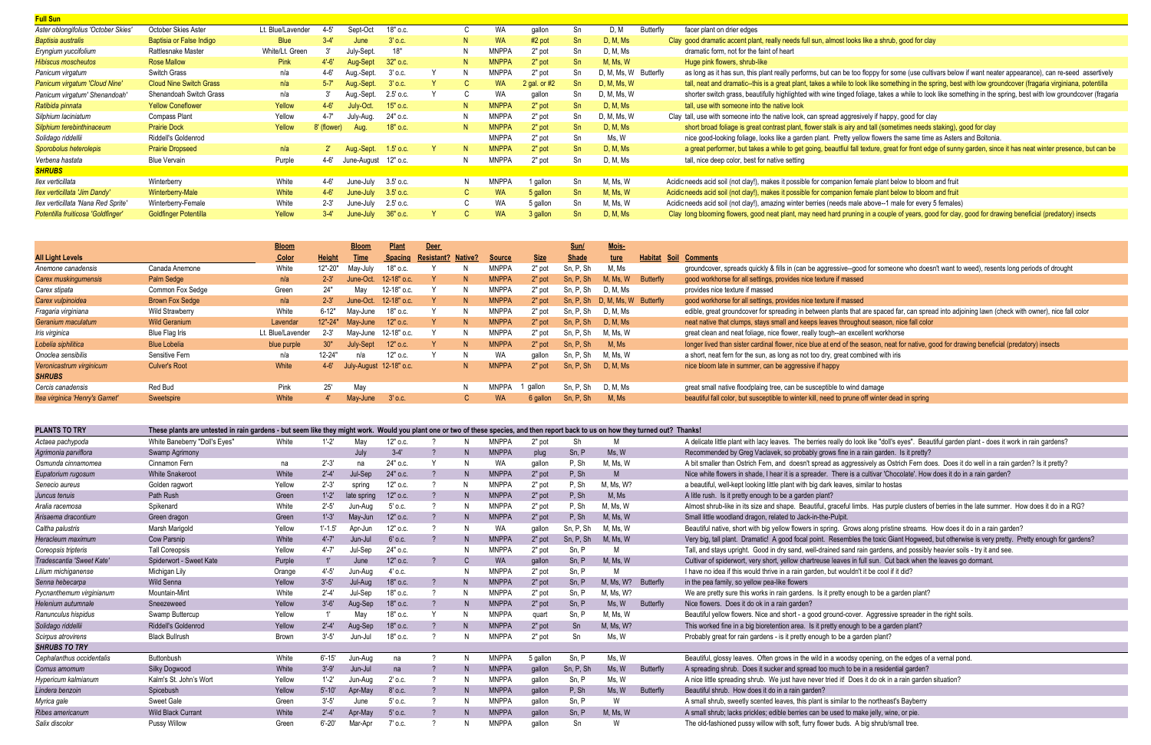| <b>Full Sun</b>                      |                                |                   |             |                      |             |    |              |                |           |                       |           |                                                                                                                                                                 |
|--------------------------------------|--------------------------------|-------------------|-------------|----------------------|-------------|----|--------------|----------------|-----------|-----------------------|-----------|-----------------------------------------------------------------------------------------------------------------------------------------------------------------|
| Aster oblongifolius 'October Skies'  | October Skies Aster            | Lt. Blue/Lavender | $4 - 5'$    | Sept-Oct             | 18" о.с.    | C. | WA           | qallon         | Sn        | D, M                  | Butterfly | facer plant on drier edges                                                                                                                                      |
| <b>Baptisia australis</b>            | Baptisia or False Indigo       | <b>Blue</b>       |             | June                 | $3'$ o.c.   | N. | <b>WA</b>    | $#2$ pot       | <b>Sn</b> | D, M, Ms              |           | Clay good dramatic accent plant, really needs full sun, almost looks like a shrub, good for clay                                                                |
| Eryngium yuccifolium                 | Rattlesnake Master             | White/Lt. Green   |             | July-Sept.           | 18"         | N. | <b>MNPPA</b> | 2" pot         | Sn        | D, M, Ms              |           | dramatic form, not for the faint of heart                                                                                                                       |
| <b>Hibiscus moscheutos</b>           | <b>Rose Mallow</b>             | <b>Pink</b>       | $4'-6'$     | Aug-Sept             | $32"$ o.c.  | N  | <b>MNPPA</b> | 2" pot         | <b>Sn</b> | M, Ms, W              |           | Huge pink flowers, shrub-like                                                                                                                                   |
| Panicum virgatum                     | Switch Grass                   | n/a               | 4-6'        | Aug.-Sept.           | 3' o.c.     |    | <b>MNPPA</b> | 2" pot         | Sn        | D, M, Ms, W Butterfly |           | as long as it has sun, this plant really performs, but can be too floppy for some (use cultivars below if want neater appearance), can re-seed assertively      |
| Panicum virgatum 'Cloud Nine'        | <b>Cloud Nine Switch Grass</b> | n/a               | $5 - 7'$    | Aug.-Sept.           | $3'$ o.c.   |    | <b>WA</b>    | 2 gal. or $#2$ | -Sn       | D, M, Ms, W           |           | tall, neat and dramatic--this is a great plant, takes a while to look like something in the spring, best with low groundcover (fragaria virginiana, potentilla  |
| Panicum virgatum' Shenandoah'        | Shenandoah Switch Grass        | n/a               |             | Aug.-Sept.           | 2.5' o.c.   |    | WA           | gallon         | Sn        | D, M, Ms, W           |           | shorter switch grass, beautifully highlighted with wine tinged foliage, takes a while to look like something in the spring, best with low groundcover (fragaria |
| Ratibida pinnata                     | <b>Yellow Coneflower</b>       | Yellow            | $4 - 6'$    | July-Oct.            | 15" o.c.    | N. | <b>MNPPA</b> | $2"$ pot       | <b>Sn</b> | D, M, Ms              |           | tall, use with someone into the native look                                                                                                                     |
| Silphium laciniatum                  | <b>Compass Plant</b>           | Yellow            | $4 - 7'$    | July-Aug.            | 24" o.c.    | N. | <b>MNPPA</b> | 2" pot         | Sn        | D, M, Ms, W           |           | Clay tall, use with someone into the native look, can spread aggresively if happy, good for clay                                                                |
| Silphium terebinthinaceum            | <b>Prairie Dock</b>            | Yellow            | 8' (flower) | Aug.                 | 18" o.c.    | N. | <b>MNPPA</b> | 2" pot         | -Sn       | D, M, Ms              |           | short broad foliage is great contrast plant, flower stalk is airy and tall (sometimes needs staking), good for clay                                             |
| Solidago riddellii                   | Riddell's Goldenrod            |                   |             |                      |             |    | <b>MNPPA</b> | 2" pot         | Sn        | Ms. W                 |           | nice good-looking foliage, looks like a garden plant. Pretty yellow flowers the same time as Asters and Boltonia.                                               |
| Sporobolus heterolepis               | <b>Prairie Dropseed</b>        | n/a               |             | Aug.-Sept.           | $1.5'$ o.c. |    | <b>MNPPA</b> | $2"$ pot       | <b>Sn</b> | D, M, Ms              |           | a great performer, but takes a while to get going, beautfiul fall texture, great for front edge of sunny garden, since it has neat winter presence, but can be  |
| Verbena hastata                      | <b>Blue Vervain</b>            | Purple            | 4-6'        | June-August 12" o.c. |             | N. | <b>MNPPA</b> | 2" pot         | Sn        | D, M, Ms              |           | tall, nice deep color, best for native setting                                                                                                                  |
| <b>SHRUBS</b>                        |                                |                   |             |                      |             |    |              |                |           |                       |           |                                                                                                                                                                 |
| llex verticillata                    | Winterberry                    | White             | $4 - 6'$    | June-July            | 3.5' o.c.   | N. | <b>MNPPA</b> | 1 gallon       | Sn        | M, Ms, W              |           | Acidic needs acid soil (not clay!), makes it possible for companion female plant below to bloom and fruit                                                       |
| <b>Ilex verticillata 'Jim Dandy'</b> | Winterberry-Male               | White             | $4 - 6'$    | June-July            | $3.5'$ o.c. |    | <b>WA</b>    | 5 gallon       | <b>Sn</b> | M, Ms, W              |           | Acidic needs acid soil (not clay!), makes it possible for companion female plant below to bloom and fruit                                                       |
| llex verticillata 'Nana Red Sprite'  | Winterberry-Female             | White             | $2 - 3'$    | June-July            | 2.5' o.c.   |    | WA.          | 5 gallon       | Sn        | M, Ms, W              |           | Acidic needs acid soil (not clay!), amazing winter berries (needs male above--1 male for every 5 females)                                                       |
| Potentilla fruiticosa 'Goldfinger'   | <b>Goldfinger Potentilla</b>   | Yellow            | $3 - 4'$    | June-July            | 36" o.c.    |    | <b>WA</b>    | 3 gallon       | <b>Sn</b> | D, M, Ms              |           | Clay long blooming flowers, good neat plant, may need hard pruning in a couple of years, good for clay, good for drawing beneficial (predatory) insects         |
|                                      |                                |                   |             |                      |             |    |              |                |           |                       |           |                                                                                                                                                                 |

|                                 |                        | <b>Bloom</b>      |               | <b>Bloom</b>            | <b>Plant</b>          | <b>Deer</b>       |                |               |             | Sun/      | Mois-                           |           |                                                                                               |
|---------------------------------|------------------------|-------------------|---------------|-------------------------|-----------------------|-------------------|----------------|---------------|-------------|-----------|---------------------------------|-----------|-----------------------------------------------------------------------------------------------|
| <b>All Light Levels</b>         |                        | Color             | <b>Height</b> | Time                    | <b>Spacing</b>        | <b>Resistant?</b> | <b>Native?</b> | <b>Source</b> | <b>Size</b> | Shade     | ture                            | Habitat   | Soil Comments                                                                                 |
| Anemone canadensis              | Canada Anemone         | White             | 12"-20"       | May-July                | 18" о.с.              |                   |                | <b>MNPPA</b>  | 2" pot      | Sn. P. Sh | M, Ms                           |           | groundcover, spreads quickly & fills in (can be aggressive--good for someone who does         |
| Carex muskingumensis            | Palm Sedge             | n/a               | $2 - 3'$      |                         | June-Oct. 12-18" o.c. |                   | N.             | <b>MNPPA</b>  | 2" pot      | Sn, P, Sh | M, Ms, W                        | Butterfly | good workhorse for all settings, provides nice texture if massed                              |
| Carex stipata                   | Common Fox Sedge       | Green             | 24"           | May                     | 12-18" o.c.           |                   | N              | <b>MNPPA</b>  | 2" pot      | Sn. P. Sh | D. M. Ms                        |           | provides nice texture if massed                                                               |
| Carex vulpinoidea               | <b>Brown Fox Sedge</b> | n/a               | $2 - 3'$      |                         | June-Oct. 12-18" o.c. |                   | N.             | <b>MNPPA</b>  | $2"$ pot    |           | Sn, P, Sh D, M, Ms, W Butterfly |           | good workhorse for all settings, provides nice texture if massed                              |
| Fragaria virginiana             | Wild Strawberry        | White             | 6-12"         | Mav-June                | 18" o.c.              |                   |                | <b>MNPPA</b>  | 2" pot      | Sn. P. Sh | D. M. Ms                        |           | edible, great groundcover for spreading in between plants that are spaced far, can sprea      |
| Geranium maculatum              | <b>Wild Geranium</b>   | Lavendar          | $12" - 24"$   | May-June                | $12"$ o.c.            |                   | N              | <b>MNPPA</b>  | $2"$ pot    | Sn. P. Sh | D, M, Ms                        |           | neat native that clumps, stays small and keeps leaves throughout season, nice fall color      |
| Iris virginica                  | Blue Flag Iris         | Lt. Blue/Lavender | $2 - 3'$      |                         | May-June 12-18" o.c.  |                   |                | <b>MNPPA</b>  | 2" pot      | Sn, P, Sh | M. Ms. W                        |           | great clean and neat foliage, nice flower, really tough--an excellent workhorse               |
| Lobelia siphilitica             | <b>Blue Lobelia</b>    | blue purple       | 30"           | July-Sept               | $12"$ o.c.            |                   | N              | <b>MNPPA</b>  | $2"$ pot    | Sn. P. Sh | M. Ms                           |           | longer lived than sister cardinal flower, nice blue at end of the season, neat for native, g  |
| Onoclea sensibilis              | Sensitive Fern         | n/a               | 12-24"        | n/a                     | 12" o.c.              |                   |                | <b>WA</b>     | gallon      | Sn, P, Sh | M, Ms, W                        |           | a short, neat fern for the sun, as long as not too dry, great combined with iris              |
| Veronicastrum virginicum        | <b>Culver's Root</b>   | White             | $4 - 6'$      | July-August 12-18" o.c. |                       |                   | N              | <b>MNPPA</b>  | $2"$ pot    | Sn. P. Sh | D, M, Ms                        |           | nice bloom late in summer, can be aggressive if happy                                         |
| <b>SHRUBS</b>                   |                        |                   |               |                         |                       |                   |                |               |             |           |                                 |           |                                                                                               |
| Cercis canadensis               | Red Bud                | Pink              | 25'           | May                     |                       |                   |                | <b>MNPPA</b>  | aallon      | Sn. P. Sh | D. M. Ms                        |           | great small native floodplaing tree, can be susceptible to wind damage                        |
| Itea virginica 'Henry's Garnet' | Sweetspire             | White             |               | Mav-June                | $3'$ o.c.             |                   |                | <b>WA</b>     | 6 gallon    | Sn, P, Sh | M. Ms                           |           | beautiful fall color, but susceptible to winter kill, need to prune off winter dead in spring |
|                                 |                        |                   |               |                         |                       |                   |                |               |             |           |                                 |           |                                                                                               |

| <b>PLANTS TO TRY</b>      | These plants are untested in rain gardens - but seem like they might work. Would you plant one or two of these species, and then report back to us on how they turned out? Thanks! |        |             |             |           |               |              |              |          |           |           |                  |                                                                                                                                                 |
|---------------------------|------------------------------------------------------------------------------------------------------------------------------------------------------------------------------------|--------|-------------|-------------|-----------|---------------|--------------|--------------|----------|-----------|-----------|------------------|-------------------------------------------------------------------------------------------------------------------------------------------------|
| Actaea pachypoda          | White Baneberry "Doll's Eyes"                                                                                                                                                      | White  | $1' - 2'$   | May         | 12" o.c.  |               |              | <b>MNPPA</b> | 2" pot   | Sh        |           |                  | A delicate little plant with lacy leaves. The berries really do look like "doll's eyes". Beautiful garden plant - does it work in rain gardens? |
| Agrimonia parviflora      | Swamp Agrimony                                                                                                                                                                     |        |             | July        | $3-4'$    |               | N.           | <b>MNPPA</b> | plug     | Sn, P     | Ms. W     |                  | Recommended by Greg Vaclavek, so probably grows fine in a rain garden. Is it pretty?                                                            |
| Osmunda cinnamomea        | Cinnamon Fern                                                                                                                                                                      | na     | $2' - 3'$   | na          | 24" o.c.  |               | N            | <b>WA</b>    | qallon   | P. Sh     | M, Ms, W  |                  | A bit smaller than Ostrich Fern, and doesn't spread as aggressively as Ostrich Fern does. Does it do well in a rain garden? Is it pretty?       |
| Eupatorium rugosum        | <b>White Snakeroot</b>                                                                                                                                                             | White  | $2' - 4'$   | Jul-Sep     | 24" o.c.  |               | N            | <b>MNPPA</b> | 2" pot   | P, Sh     | M         |                  | Nice white flowers in shade, I hear it is a spreader. There is a cultivar 'Chocolate'. How does it do in a rain garden?                         |
| Senecio aureus            | Golden ragwort                                                                                                                                                                     | Yellow | $2' - 3'$   | spring      | 12" o.c.  |               |              | <b>MNPPA</b> | 2" pot   | P, Sh     | 1, Ms, W? |                  | a beautiful, well-kept looking little plant with big dark leaves, similar to hostas                                                             |
| Juncus tenuis             | Path Rush                                                                                                                                                                          | Green  | $1' - 2'$   | late spring | 12" o.c.  |               | N            | <b>MNPPA</b> | 2" pot   | P, Sh     | M. Ms     |                  | A litle rush. Is it pretty enough to be a garden plant?                                                                                         |
| Aralia racemosa           | Spikenard                                                                                                                                                                          | White  | $2' - 5'$   | Jun-Aua     | $5'$ o.c. |               |              | <b>MNPPA</b> | 2" pot   | P, Sh     | M. Ms. W  |                  | Almost shrub-like in its size and shape. Beautiful, graceful limbs. Has purple clusters of berries in the late summer. How does it do in a RG?  |
| Arisaema dracontium       | Green dragon                                                                                                                                                                       | Green  | $1' - 3'$   | May-Jun     | 12" o.c.  |               | <sub>N</sub> | <b>MNPPA</b> | 2" pot   | P, Sh     | M, Ms, W  |                  | Small little woodland dragon, related to Jack-in-the-Pulpit.                                                                                    |
| Caltha palustris          | Marsh Marigold                                                                                                                                                                     | Yellow | $1' - 1.5'$ | Apr-Jun     | 12" o.c.  |               | N            | WA           | qallon   | Sn, P, Sh | M, Ms, W  |                  | Beautiful native, short with big yellow flowers in spring. Grows along pristine streams. How does it do in a rain garden?                       |
| Heracleum maximum         | <b>Cow Parsnip</b>                                                                                                                                                                 | White  | $4' - 7'$   | Jun-Jul     | $6'$ o.c. |               | N            | <b>MNPPA</b> | 2" pot   | Sn, P, Sh | M, Ms, W  |                  | Very big, tall plant. Dramatic! A good focal point. Resembles the toxic Giant Hogweed, but otherwise is very pretty. Pretty enough for gardens? |
| Coreopsis tripteris       | <b>Tall Coreopsis</b>                                                                                                                                                              | Yellow | $4' - 7$    | Jul-Sep     | 24" o.c.  |               | N            | <b>MNPPA</b> | 2" pot   | Sn, P     | M         |                  | Tall, and stays upright. Good in dry sand, well-drained sand rain gardens, and possibly heavier soils - try it and see.                         |
| Tradescantia 'Sweet Kate' | Spiderwort - Sweet Kate                                                                                                                                                            | Purple |             | June        | 12" o.c.  | $\mathcal{P}$ | $\mathsf{C}$ | <b>WA</b>    | gallon   | Sn, P     | M, Ms, W  |                  | Cultivar of spiderwort, very short, yellow chartreuse leaves in full sun. Cut back when the leaves go dormant.                                  |
| Lilium michiganense       | Michigan Lily                                                                                                                                                                      | Orange | $4 - 5$     | Jun-Aua     | $4'$ o.c. |               | N            | <b>MNPPA</b> | 2" pot   | Sn. P     |           |                  | I have no idea if this would thrive in a rain garden, but wouldn't it be cool if it did?                                                        |
| Senna hebecarpa           | <b>Wild Senna</b>                                                                                                                                                                  | Yellow | $3' - 5'$   | Jul-Aug     | 18" o.c.  | <u>ຼ</u>      | N            | <b>MNPPA</b> | 2" pot   | Sn, P     | M. Ms. W? | Butterfly        | in the pea family, so yellow pea-like flowers                                                                                                   |
| Pycnanthemum virginianum  | Mountain-Mint                                                                                                                                                                      | White  | $2' - 4'$   | Jul-Sep     | 18" o.c.  |               |              | <b>MNPPA</b> | 2" pot   | Sn, P     | 1, Ms, W? |                  | We are pretty sure this works in rain gardens. Is it pretty enough to be a garden plant?                                                        |
| Helenium autumnale        | Sneezeweed                                                                                                                                                                         | Yellow | $3'-6'$     | Aug-Sep     | 18" o.c.  |               | N            | <b>MNPPA</b> | 2" pot   | Sn, P     | Ms, W     | <b>Butterfly</b> | Nice flowers. Does it do ok in a rain garden?                                                                                                   |
| Ranunculus hispidus       | Swamp Buttercup                                                                                                                                                                    | Yellow |             | May         | 18" o.c.  |               |              | <b>MNPPA</b> | quarl    | Sn, P     | M, Ms, W  |                  | Beautiful yellow flowers. Nice and short - a good ground-cover. Aggressive spreader in the right soils.                                         |
| Solidago riddellii        | <b>Riddell's Goldenrod</b>                                                                                                                                                         | Yellow | $2' - 4'$   | Aug-Sep     | 18" o.c.  |               |              | <b>MNPPA</b> | 2" pot   | Sn        | M, Ms, W? |                  | This worked fine in a big bioretention area. Is it pretty enough to be a garden plant?                                                          |
| Scirpus atrovirens        | <b>Black Bullrush</b>                                                                                                                                                              | Brown  | $3' - 5'$   | Jun-Jul     | 18" o.c.  |               | N            | <b>MNPPA</b> | 2" pot   | Sn        | Ms, W     |                  | Probably great for rain gardens - is it pretty enough to be a garden plant?                                                                     |
| <b>SHRUBS TO TRY</b>      |                                                                                                                                                                                    |        |             |             |           |               |              |              |          |           |           |                  |                                                                                                                                                 |
| Cephalanthus occidentalis | Buttonbush                                                                                                                                                                         | White  | $6' - 15'$  | Jun-Aug     | na        |               | N            | <b>MNPPA</b> | 5 gallon | Sn, P     | Ms, W     |                  | Beautiful, glossy leaves. Often grows in the wild in a woodsy opening, on the edges of a vernal pond                                            |
| Cornus amomum             | <b>Silky Dogwood</b>                                                                                                                                                               | White  | $3' - 9'$   | Jun-Jul     | na        |               | N            | <b>MNPPA</b> | qallon   | Sn, P, Sh | Ms, W     | <b>Butterfly</b> | A spreading shrub. Does it sucker and spread too much to be in a residential garden?                                                            |
| Hypericum kalmianum       | Kalm's St. John's Wort                                                                                                                                                             | Yellow | $1 - 2$     | Jun-Auo     | $2'$ o.c. |               | N            | <b>MNPPA</b> | qallon   | Sn, P     | Ms. W     |                  | A nice little spreading shrub. We just have never tried it! Does it do ok in a rain garden situation?                                           |
| Lindera benzoin           | Spicebush                                                                                                                                                                          | Yellow | $5' - 10'$  | Apr-May     | $8'$ o.c. |               | N            | <b>MNPPA</b> | qallon   | P, Sh     | Ms, W     | Butterfly        | Beautiful shrub. How does it do in a rain garden?                                                                                               |
| Myrica gale               | <b>Sweet Gale</b>                                                                                                                                                                  | Green  | $3' - 5'$   | June        | $5'$ o.c. |               | N            | <b>MNPPA</b> | qallon   | Sn, P     | W         |                  | A small shrub, sweetly scented leaves, this plant is similar to the northeast's Bayberry                                                        |
| Ribes americanum          | <b>Wild Black Currant</b>                                                                                                                                                          | White  | $2' - 4'$   | Apr-May     | $5'$ o.c. |               | N            | <b>MNPPA</b> | qallon   | Sn, P     | M, Ms, W  |                  | A small shrub; lacks prickles; edible berries can be used to make jelly, wine, or pie.                                                          |
| Salix discolor            | <b>Pussy Willow</b>                                                                                                                                                                | Green  | $6' - 20'$  | Mar-Apr     | $7'$ o.c. |               |              | <b>MNPPA</b> | gallon   | Sn        | W         |                  | The old-fashioned pussy willow with soft, furry flower buds. A big shrub/small tree.                                                            |

### t looks like a shrub, good for clay <mark>i</mark>

e--good for someone who doesn't want to weed), resents long periods of drought

ts that are spaced far, can spread into adjoining lawn (check with owner), nice fall color

of the season, neat for native, good for drawing beneficial (predatory) insects